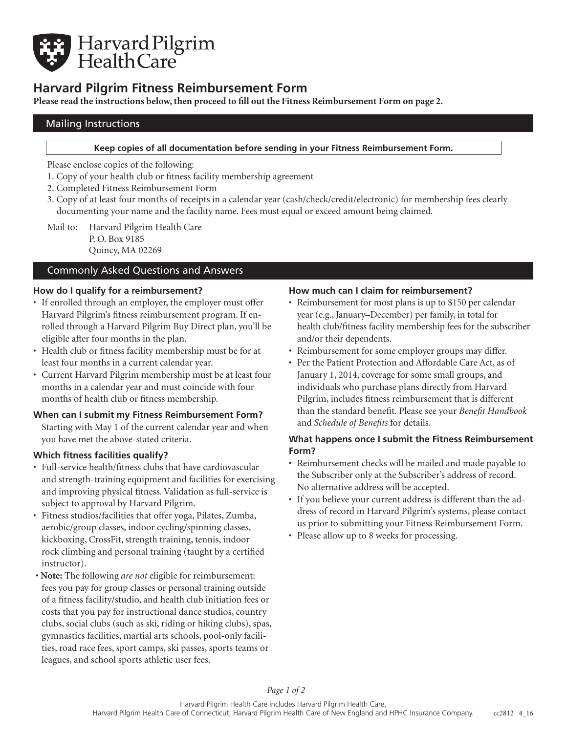

# **Harvard Pilgrim Fitness Reimbursement Form**

**Please read the instructions below, then proceed to fill out the Fitness Reimbursement Form on page 2.**

## Mailing Instructions

#### **Keep copies of all documentation before sending in your Fitness Reimbursement Form.**

Please enclose copies of the following:

- 1. Copy of your health club or fitness facility membership agreement
- 2. Completed Fitness Reimbursement Form
- 3. Copy of at least four months of receipts in a calendar year (cash/check/credit/electronic) for membership fees clearly documenting your name and the facility name. Fees must equal or exceed amount being claimed.

Mail to: Harvard Pilgrim Health Care P. O. Box 9185 Quincy, MA 02269

## Commonly Asked Questions and Answers

### **How do I qualify for a reimbursement?**

- If enrolled through an employer, the employer must offer Harvard Pilgrim's fitness reimbursement program. If enrolled through a Harvard Pilgrim Buy Direct plan, you'll be eligible after four months in the plan.
- Health club or fitness facility membership must be for at least four months in a current calendar year.
- Current Harvard Pilgrim membership must be at least four months in a calendar year and must coincide with four months of health club or fitness membership.

### **When can I submit my Fitness Reimbursement Form?**

Starting with May 1 of the current calendar year and when you have met the above-stated criteria.

### **Which fitness facilities qualify?**

- Full-service health/fitness clubs that have cardiovascular and strength-training equipment and facilities for exercising and improving physical fitness. Validation as full-service is subject to approval by Harvard Pilgrim.
- Fitness studios/facilities that offer yoga, Pilates, Zumba, aerobic/group classes, indoor cycling/spinning classes, kickboxing, CrossFit, strength training, tennis, indoor rock climbing and personal training (taught by a certified instructor).
- **Note:** The following *are not* eligible for reimbursement: fees you pay for group classes or personal training outside of a fitness facility/studio, and health club initiation fees or costs that you pay for instructional dance studios, country clubs, social clubs (such as ski, riding or hiking clubs), spas, gymnastics facilities, martial arts schools, pool-only facilities, road race fees, sport camps, ski passes, sports teams or leagues, and school sports athletic user fees.

### **How much can I claim for reimbursement?**

- Reimbursement for most plans is up to \$150 per calendar year (e.g., January–December) per family, in total for health club/fitness facility membership fees for the subscriber and/or their dependents.
- Reimbursement for some employer groups may differ.
- Per the Patient Protection and Affordable Care Act, as of January 1, 2014, coverage for some small groups, and individuals who purchase plans directly from Harvard Pilgrim, includes fitness reimbursement that is different than the standard benefit. Please see your *Benefit Handbook* and *Schedule of Benefits* for details.

## **What happens once I submit the Fitness Reimbursement Form?**

- Reimbursement checks will be mailed and made payable to the Subscriber only at the Subscriber's address of record. No alternative address will be accepted.
- If you believe your current address is different than the address of record in Harvard Pilgrim's systems, please contact us prior to submitting your Fitness Reimbursement Form.
- Please allow up to 8 weeks for processing.